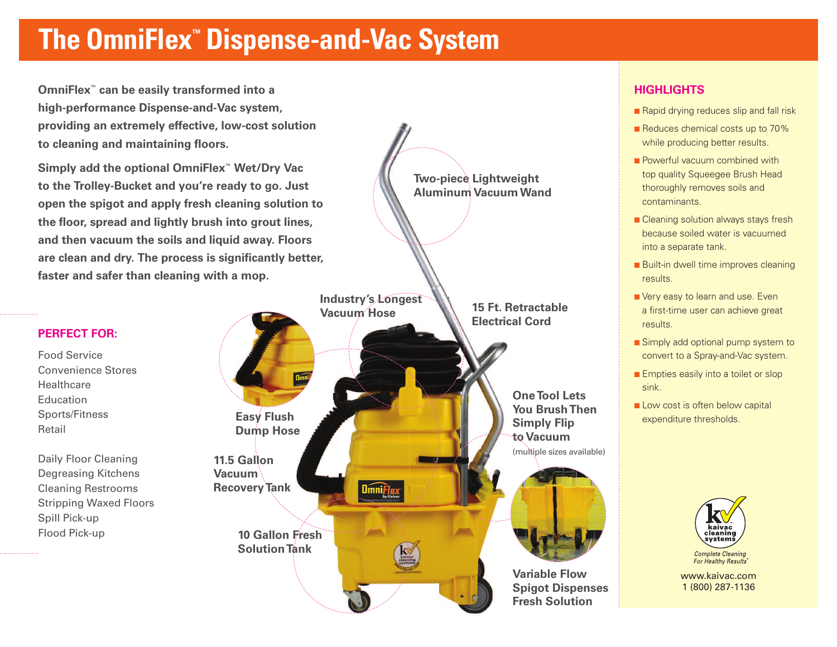### **The OmniFlex™ Dispense-and-Vac System**

**OmniFlex™ can be easily transformed into a high-performance Dispense-and-Vac system, providing an extremely effective, low-cost solution to cleaning and maintaining floors.**

**Simply add the optional OmniFlex™ Wet/Dry Vac to the Trolley-Bucket and you're ready to go. Just open the spigot and apply fresh cleaning solution to the floor, spread and lightly brush into grout lines, and then vacuum the soils and liquid away. Floors are clean and dry. The process is significantly better, faster and safer than cleaning with a mop.**

### **PERFECT FOR:**

Food Service Convenience Stores **Healthcare** Education Sports/Fitness Retail

Daily Floor Cleaning Degreasing Kitchens Cleaning Restrooms Stripping Waxed Floors Spill Pick-up Flood Pick-up



### **HIGHLIGHTS**

- Rapid drying reduces slip and fall risk
- Reduces chemical costs up to 70% while producing better results.
- Powerful vacuum combined with top quality Squeegee Brush Head thoroughly removes soils and contaminants.
- Cleaning solution always stays fresh because soiled water is vacuumed into a separate tank.
- Built-in dwell time improves cleaning results.
- **■** Very easy to learn and use. Even a first-time user can achieve great results.
- Simply add optional pump system to convert to a Spray-and-Vac system.
- Empties easily into a toilet or slop sink.
- Low cost is often below capital expenditure thresholds.



www.kaivac.com 1 (800) 287-1136